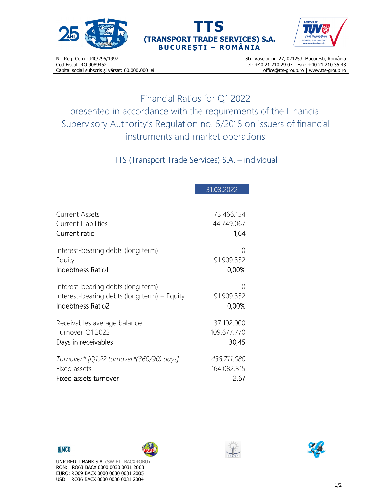





Nr. Reg. Com.: J40/296/1997 Cod Fiscal: RO 9089452 Capital social subscris și vărsat: 60.000.000 lei

Str. Vaselor nr. 27, 021253, București, România Tel: +40 21 210 29 07 | Fax: +40 21 210 35 43 office@tts-group.ro | www.tts-group.ro

Financial Ratios for Q1 2022 presented in accordance with the requirements of the Financial Supervisory Authority's Regulation no. 5/2018 on issuers of financial instruments and market operations

TTS (Transport Trade Services) S.A. – individual

|                                             | 31.03.2022  |
|---------------------------------------------|-------------|
| Current Assets                              | 73.466.154  |
| <b>Current Liabilities</b>                  | 44.749.067  |
| Current ratio                               | 1,64        |
| Interest-bearing debts (long term)          | 0           |
| Equity                                      | 191.909.352 |
| Indebtness Ratio1                           | 0,00%       |
| Interest-bearing debts (long term)          | 0           |
| Interest-bearing debts (long term) + Equity | 191.909.352 |
| Indebtness Ratio2                           | 0,00%       |
| Receivables average balance                 | 37.102.000  |
| Turnover Q1 2022                            | 109.677.770 |
| Days in receivables                         | 30,45       |
| Turnover* [Q1.22 turnover*(360/90) days]    | 438.711.080 |
| Fixed assets                                | 164.082.315 |
| Fixed assets turnover                       | 2,67        |